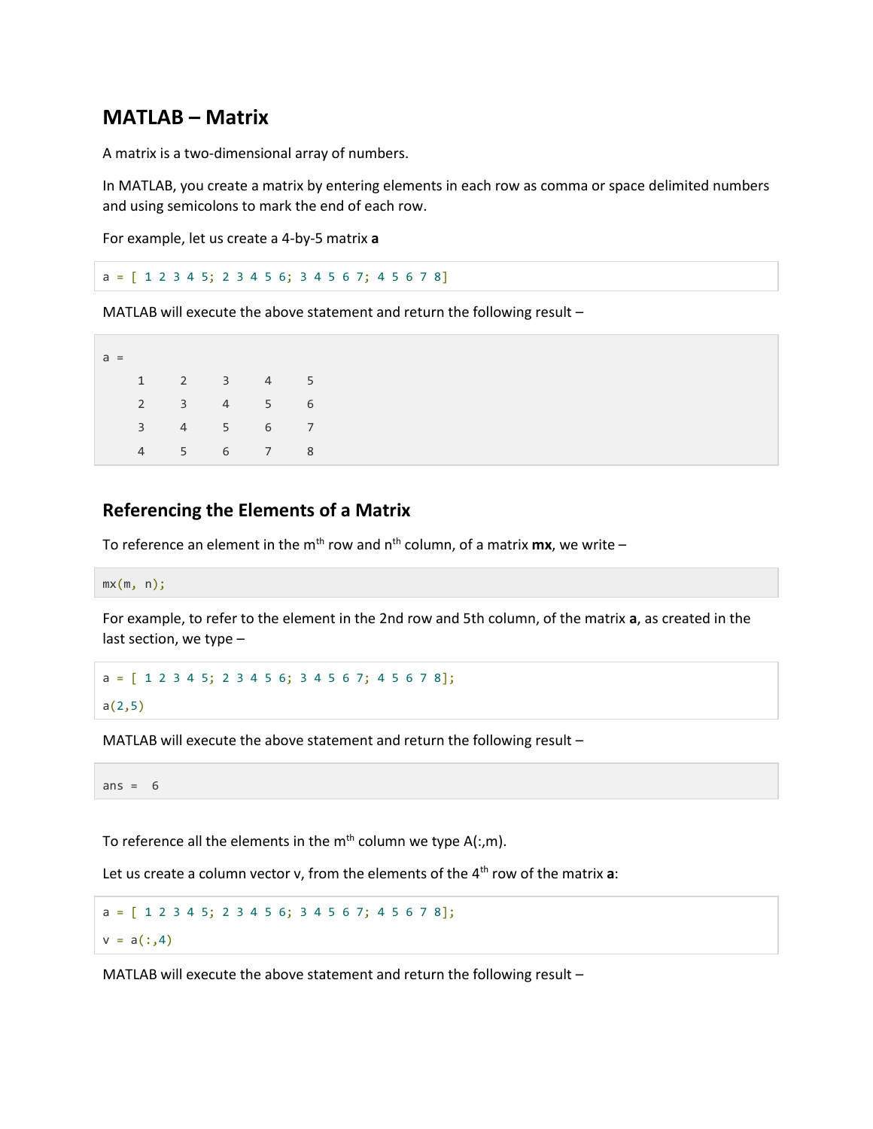## **MATLAB – Matrix**

A matrix is a two-dimensional array of numbers.

In MATLAB, you create a matrix by entering elements in each row as comma or space delimited numbers and using semicolons to mark the end of each row.

For example, let us create a 4-by-5 matrix **a**

```
a = [ 1 2 3 4 5; 2 3 4 5 6; 3 4 5 6 7; 4 5 6 7 8]
```
MATLAB will execute the above statement and return the following result –

| $a =$ |                |                |                 |                 |                |
|-------|----------------|----------------|-----------------|-----------------|----------------|
|       | 1              | $2^{\circ}$    | $3^{\circ}$     | $4\overline{ }$ | 5              |
|       | $\overline{2}$ | $3^{\circ}$    | 4               | 5 <sub>1</sub>  | 6              |
|       | $\overline{3}$ | $\overline{4}$ | $5^{\circ}$     | $6\overline{}$  | $\overline{7}$ |
|       |                | $5^{\circ}$    | $6\overline{)}$ | 7               | 8              |

## **Referencing the Elements of a Matrix**

To reference an element in the m<sup>th</sup> row and n<sup>th</sup> column, of a matrix **mx**, we write –

 $mx(m, n);$ 

For example, to refer to the element in the 2nd row and 5th column, of the matrix **a**, as created in the last section, we type –

```
a = [ 1 2 3 4 5; 2 3 4 5 6; 3 4 5 6 7; 4 5 6 7 8];
a(2,5)
```
MATLAB will execute the above statement and return the following result –

ans  $= 6$ 

To reference all the elements in the  $m<sup>th</sup>$  column we type A(:,m).

Let us create a column vector v, from the elements of the 4th row of the matrix **a**:

 $a = [ 1 2 3 4 5; 2 3 4 5 6; 3 4 5 6 7; 4 5 6 7 8];$  $v = a(:, 4)$ 

MATLAB will execute the above statement and return the following result –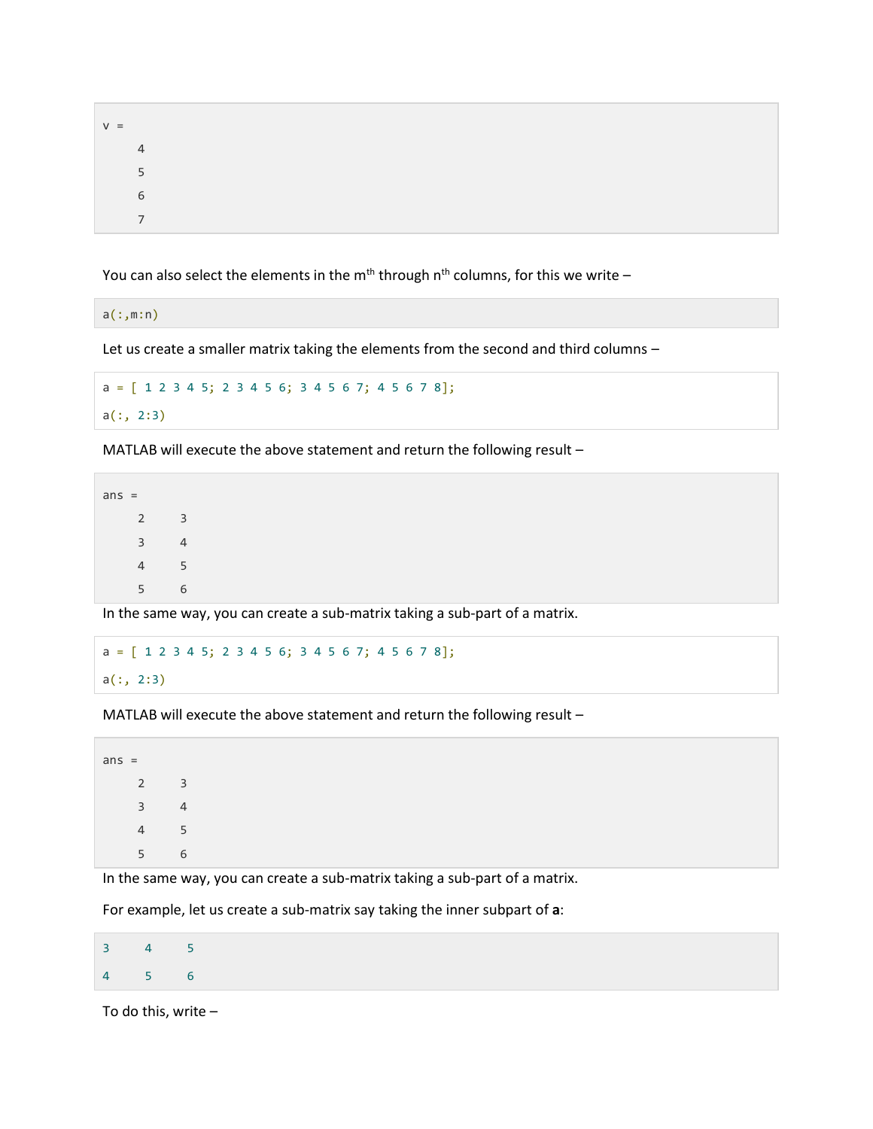| $V =$ |                |  |  |  |
|-------|----------------|--|--|--|
|       | $\overline{4}$ |  |  |  |
|       | 5 <sup>5</sup> |  |  |  |
|       | 6              |  |  |  |
|       | $\overline{7}$ |  |  |  |

You can also select the elements in the m<sup>th</sup> through n<sup>th</sup> columns, for this we write –

a(:,m:n)

Let us create a smaller matrix taking the elements from the second and third columns –

a = [ 1 2 3 4 5; 2 3 4 5 6; 3 4 5 6 7; 4 5 6 7 8];  $a(:, 2:3)$ 

MATLAB will execute the above statement and return the following result –

In the same way, you can create a sub-matrix taking a sub-part of a matrix.

```
a = [ 1 2 3 4 5; 2 3 4 5 6; 3 4 5 6 7; 4 5 6 7 8];a(:, 2:3)
```
MATLAB will execute the above statement and return the following result –

In the same way, you can create a sub-matrix taking a sub-part of a matrix.

For example, let us create a sub-matrix say taking the inner subpart of **a**:

| $3 \qquad 4 \qquad 5$ |  |
|-----------------------|--|
| 4 5 6                 |  |

To do this, write –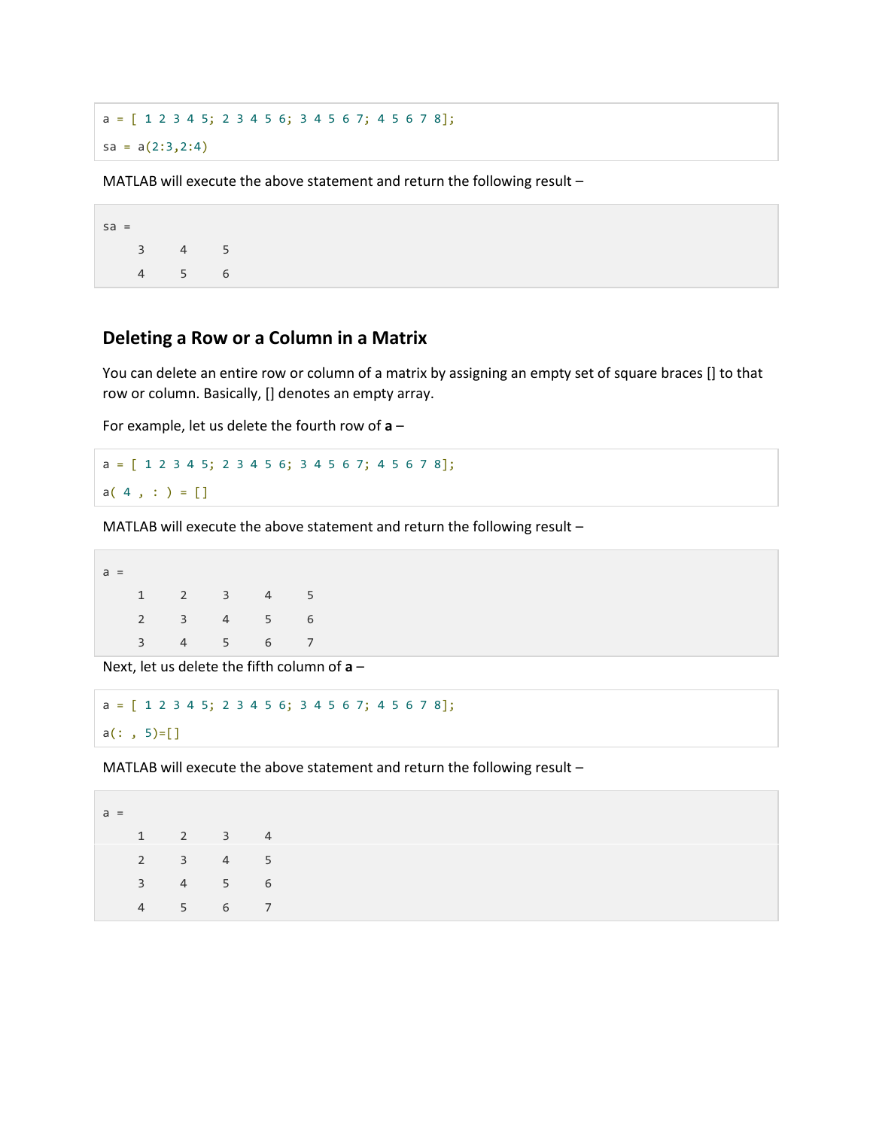$a = [ 1 2 3 4 5; 2 3 4 5 6; 3 4 5 6 7; 4 5 6 7 8];$  $sa = a(2:3,2:4)$ 

MATLAB will execute the above statement and return the following result –

 $sa =$  3 4 5 4 5 6

## **Deleting a Row or a Column in a Matrix**

You can delete an entire row or column of a matrix by assigning an empty set of square braces [] to that row or column. Basically, [] denotes an empty array.

For example, let us delete the fourth row of **a** –

 $a = [ 1 2 3 4 5; 2 3 4 5 6; 3 4 5 6 7; 4 5 6 7 8];$  $a( 4 , : ) = []$ 

MATLAB will execute the above statement and return the following result –

 $a =$  1 2 3 4 5 2 3 4 5 6 3 4 5 6 7

Next, let us delete the fifth column of **a** –

```
a = [ 1 2 3 4 5; 2 3 4 5 6; 3 4 5 6 7; 4 5 6 7 8];
a(: , 5)=[]
```
MATLAB will execute the above statement and return the following result –

| $a =$ |                |                |   |   |
|-------|----------------|----------------|---|---|
|       | 1              | 2              | 3 | 4 |
|       | $\overline{2}$ | 3              | 4 | 5 |
|       | 3              | $\overline{4}$ | 5 | 6 |
|       | 4              | 5              | 6 | 7 |